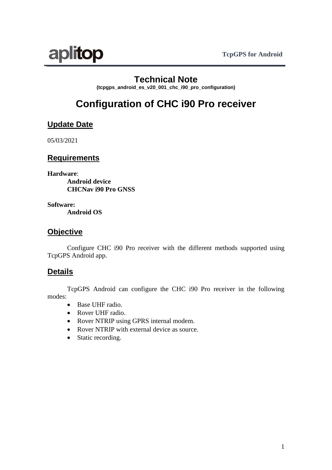

# **Technical Note**

**(tcpgps\_android\_es\_v20\_001\_chc\_i90\_pro\_configuration)**

# **Configuration of CHC i90 Pro receiver**

### **Update Date**

05/03/2021

### **Requirements**

**Hardware**: **Android device CHCNav i90 Pro GNSS**

**Software:**

**Android OS**

### **Objective**

Configure CHC i90 Pro receiver with the different methods supported using TcpGPS Android app.

### **Details**

TcpGPS Android can configure the CHC i90 Pro receiver in the following modes:

- Base UHF radio.
- Rover UHF radio.
- Rover NTRIP using GPRS internal modem.
- Rover NTRIP with external device as source.
- Static recording.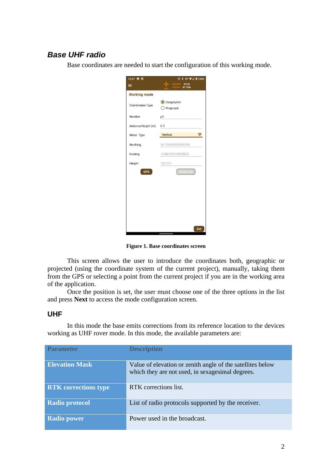## *Base UHF radio*

Base coordinates are needed to start the configuration of this working mode.

| 12:37 ■ ③           | $\circledcirc * \bullet \circledcirc \mathcal{A} \bullet 100\%$ |
|---------------------|-----------------------------------------------------------------|
| ≡                   | H 0.519<br>27/32<br>V 0.917<br><b>BT CON</b>                    |
| <b>Working mode</b> |                                                                 |
| Coordinates Type    | Geographic<br>◯ Projected                                       |
| Number              | pЗ                                                              |
| Antenna Height (m)  | 0.0                                                             |
| Meas. Type          | Vertical<br>▽                                                   |
| Northing            |                                                                 |
| Easting             |                                                                 |
| Height              |                                                                 |
| <b>GPS</b>          |                                                                 |
|                     |                                                                 |
|                     |                                                                 |
|                     |                                                                 |
|                     |                                                                 |
|                     |                                                                 |
|                     | Set                                                             |

**Figure 1. Base coordinates screen**

This screen allows the user to introduce the coordinates both, geographic or projected (using the coordinate system of the current project), manually, taking them from the GPS or selecting a point from the current project if you are in the working area of the application.

Once the position is set, the user must choose one of the three options in the list and press **Next** to access the mode configuration screen.

#### **UHF**

In this mode the base emits corrections from its reference location to the devices working as UHF rover mode. In this mode, the available parameters are:

| <b>Parameter</b>            | <b>Description</b>                                                                                             |
|-----------------------------|----------------------------------------------------------------------------------------------------------------|
| <b>Elevation Mask</b>       | Value of elevation or zenith angle of the satellites below<br>which they are not used, in sexagesimal degrees. |
| <b>RTK</b> corrections type | RTK corrections list.                                                                                          |
| <b>Radio protocol</b>       | List of radio protocols supported by the receiver.                                                             |
| <b>Radio power</b>          | Power used in the broadcast.                                                                                   |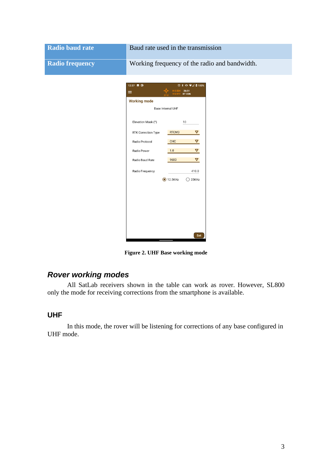| <b>Radio baud rate</b> | Baud rate used in the transmission                                                                                                     |  |
|------------------------|----------------------------------------------------------------------------------------------------------------------------------------|--|
| <b>Radio frequency</b> | Working frequency of the radio and bandwidth.                                                                                          |  |
|                        | 12:37 8 3<br>$\circledcirc\ast\bullet\blacktriangleright\hspace{-4pt}\bullet\blacktriangle\blacksquare$<br>26/31<br>≡<br><b>BT CON</b> |  |
|                        | <b>Working mode</b><br>Base Internal UHF                                                                                               |  |
|                        | Elevation Mask (°)<br>10                                                                                                               |  |
|                        | RTCM3<br>$\triangledown$<br>RTK Correction Type                                                                                        |  |
|                        | $\triangledown$<br>CHC<br>Radio Protocol<br>$\blacktriangledown$<br>1.0<br>Radio Power                                                 |  |
|                        | 9600<br>▽<br>Radio Baud Rate                                                                                                           |  |
|                        | Radio Frequency<br>410.0<br>12.5KHz<br>$\bigcirc$ 25KHz                                                                                |  |
|                        |                                                                                                                                        |  |
|                        |                                                                                                                                        |  |
|                        |                                                                                                                                        |  |
|                        | Set                                                                                                                                    |  |

**Figure 2. UHF Base working mode**

# *Rover working modes*

All SatLab receivers shown in the table can work as rover. However, SL800 only the mode for receiving corrections from the smartphone is available.

#### **UHF**

In this mode, the rover will be listening for corrections of any base configured in UHF mode.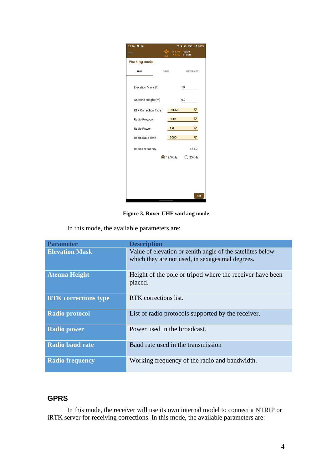| 12:36 ■ ③           | $\circ$ * $\bullet$ $\bullet$ $\bullet$ $\bullet$ 100% |                         |
|---------------------|--------------------------------------------------------|-------------------------|
| ≡                   | H 1.145                                                | 09/30<br>V 2.102 BT CON |
| <b>Working mode</b> |                                                        |                         |
| UHF<br><b>GPRS</b>  |                                                        | <b>INTERNET</b>         |
|                     |                                                        |                         |
| Elevation Mask (°)  |                                                        | 10                      |
| Antenna Height (m)  |                                                        | 0.0                     |
| RTK Correction Type | RTCM3                                                  | ▽                       |
| Radio Protocol      | CHC                                                    | ▽                       |
| Radio Power         | 1.0                                                    | ▽                       |
| Radio Baud Rate     | 9600                                                   | ▽                       |
| Radio Frequency     |                                                        | 455.0                   |
|                     | $\odot$ 12.5KHz                                        | 25KHz<br>C              |
|                     |                                                        |                         |
|                     |                                                        |                         |
|                     |                                                        |                         |
|                     |                                                        |                         |
|                     |                                                        | Set                     |

**Figure 3. Rover UHF working mode**

In this mode, the available parameters are:

| <b>Parameter</b>            | <b>Description</b>                                                                                              |
|-----------------------------|-----------------------------------------------------------------------------------------------------------------|
| <b>Elevation Mask</b>       | Value of elevation or zenith angle of the satellities below<br>which they are not used, in sexagesimal degrees. |
| <b>Atenna Height</b>        | Height of the pole or tripod where the receiver have been<br>placed.                                            |
| <b>RTK</b> corrections type | RTK corrections list.                                                                                           |
| <b>Radio protocol</b>       | List of radio protocols supported by the receiver.                                                              |
| <b>Radio power</b>          | Power used in the broadcast.                                                                                    |
| <b>Radio baud rate</b>      | Baud rate used in the transmission                                                                              |
| <b>Radio frequency</b>      | Working frequency of the radio and bandwidth.                                                                   |

### **GPRS**

In this mode, the receiver will use its own internal model to connect a NTRIP or iRTK server for receiving corrections. In this mode, the available parameters are: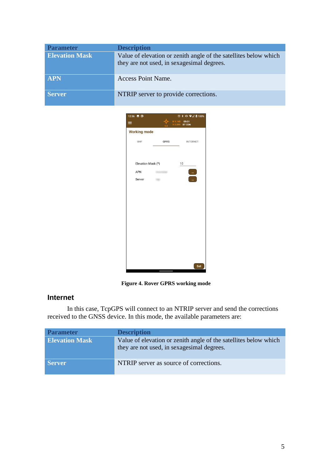| <b>Parameter</b>      | <b>Description</b>                                                                                             |
|-----------------------|----------------------------------------------------------------------------------------------------------------|
| <b>Elevation Mask</b> | Value of elevation or zenith angle of the satellites below which<br>they are not used, in sexagesimal degrees. |
| <b>APN</b>            | Access Point Name.                                                                                             |
| <b>Server</b>         | NTRIP server to provide corrections.                                                                           |



**Figure 4. Rover GPRS working mode**

### **Internet**

In this case, TcpGPS will connect to an NTRIP server and send the corrections received to the GNSS device. In this mode, the available parameters are:

| <b>Parameter</b>      | <b>Description</b>                                                                                             |
|-----------------------|----------------------------------------------------------------------------------------------------------------|
| <b>Elevation Mask</b> | Value of elevation or zenith angle of the satellites below which<br>they are not used, in sexagesimal degrees. |
| <b>Server</b>         | NTRIP server as source of corrections.                                                                         |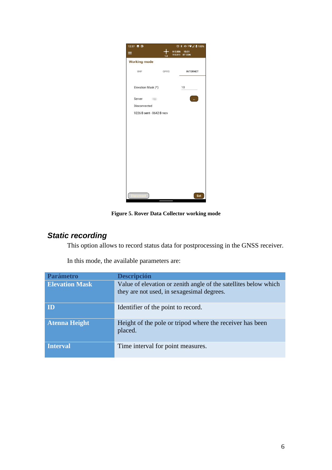| 12:37 ■ ③                 |      | $\circledcirc * \bullet * \mathbin{\widehat{\otimes}} A \mathbin{\ulcorner} 100\%$ |
|---------------------------|------|------------------------------------------------------------------------------------|
| ≡                         | 1.0  | H 0.006<br>15/31<br>V 0.011<br><b>BT CON</b>                                       |
| <b>Working mode</b>       |      |                                                                                    |
| UHF                       | GPRS | <b>INTERNET</b>                                                                    |
| Elevation Mask (°)        |      | 10                                                                                 |
| Server<br><b>COLOR</b>    |      | $\mathbf{u}$                                                                       |
| Disconnected              |      |                                                                                    |
| 9226 B sent - 8642 B recv |      |                                                                                    |
|                           |      |                                                                                    |
|                           |      |                                                                                    |
|                           |      |                                                                                    |
|                           |      |                                                                                    |
|                           |      |                                                                                    |
|                           |      |                                                                                    |
|                           |      |                                                                                    |
|                           |      |                                                                                    |
|                           |      |                                                                                    |
|                           |      |                                                                                    |
|                           |      |                                                                                    |
|                           |      | Set                                                                                |

**Figure 5. Rover Data Collector working mode**

# *Static recording*

This option allows to record status data for postprocessing in the GNSS receiver.

| <b>Parámetro</b>      | <b>Descripción</b>                                                                                              |
|-----------------------|-----------------------------------------------------------------------------------------------------------------|
| <b>Elevation Mask</b> | Value of elevation or zenith angle of the satellities below which<br>they are not used, in sexagesimal degrees. |
| ID                    | Identifier of the point to record.                                                                              |
| <b>Atenna Height</b>  | Height of the pole or tripod where the receiver has been<br>placed.                                             |
| <b>Interval</b>       | Time interval for point measures.                                                                               |

In this mode, the available parameters are: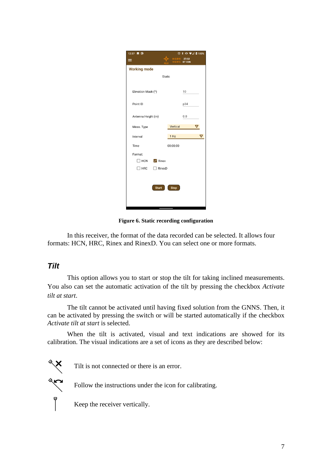| 12:37 ■ ◎                   | $\circ$ * $\bullet$ $\bullet$ $\bullet$ $\bullet$ 100% |
|-----------------------------|--------------------------------------------------------|
| $\equiv$                    | H 0.519 27/32<br>V 0.915<br><b>BT CON</b>              |
| <b>Working mode</b>         |                                                        |
| <b>Static</b>               |                                                        |
|                             |                                                        |
| Elevation Mask (°)          | 10                                                     |
| Point ID                    | p34                                                    |
|                             |                                                        |
| Antenna Height (m)          | 0.0                                                    |
| Meas. Type                  | Vertical<br>▽                                          |
| Interval                    | 1 Hz<br>⊽                                              |
| Time                        | 00:00:00                                               |
| Format:                     |                                                        |
| $\Box$ HCN $\Box$ Rinex     |                                                        |
| $\Box$ HRC<br>$\Box$ RinexD |                                                        |
|                             |                                                        |
|                             |                                                        |
| <b>Start</b>                | <b>Stop</b>                                            |
|                             |                                                        |
|                             |                                                        |

**Figure 6. Static recording configuration**

In this receiver, the format of the data recorded can be selected. It allows four formats: HCN, HRC, Rinex and RinexD. You can select one or more formats.

#### *Tilt*

 $\begin{matrix} 1 & 1 & 1 \\ 1 & 1 & 1 \\ 1 & 1 & 1 \end{matrix}$ 

This option allows you to start or stop the tilt for taking inclined measurements. You also can set the automatic activation of the tilt by pressing the checkbox *Activate tilt at start*.

The tilt cannot be activated until having fixed solution from the GNNS. Then, it can be activated by pressing the switch or will be started automatically if the checkbox *Activate tilt at start* is selected.

When the tilt is activated, visual and text indications are showed for its calibration. The visual indications are a set of icons as they are described below:

Tilt is not connected or there is an error.

Follow the instructions under the icon for calibrating.

Keep the receiver vertically.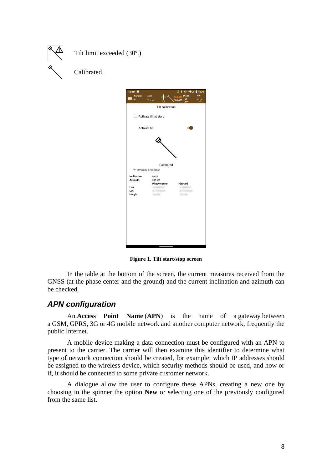



**Figure 1. Tilt start/stop screen**

In the table at the bottom of the screen, the current measures received from the GNSS (at the phase center and the ground) and the current inclination and azimuth can be checked.

### *APN configuration*

An **Access Point Name** (**APN**) is the name of a [gateway](https://en.wikipedia.org/wiki/Gateway_(telecommunications)) between a [GSM,](https://en.wikipedia.org/wiki/Global_System_for_Mobile_Communications) [GPRS,](https://en.wikipedia.org/wiki/General_Packet_Radio_Service) [3G](https://en.wikipedia.org/wiki/3G) or [4G](https://en.wikipedia.org/wiki/4G) mobile [network](https://en.wikipedia.org/wiki/Cellular_network) and another [computer network,](https://en.wikipedia.org/wiki/Computer_network) frequently the public [Internet.](https://en.wikipedia.org/wiki/Internet)

A mobile device making a data connection must be configured with an APN to present to the carrier. The carrier will then examine this identifier to determine what type of network connection should be created, for example: which [IP addresses](https://en.wikipedia.org/wiki/IP_address) should be assigned to the wireless device, which security methods should be used, and how or if, it should be connected to some private customer network.

A dialogue allow the user to configure these APNs, creating a new one by choosing in the spinner the option **New** or selecting one of the previously configured from the same list.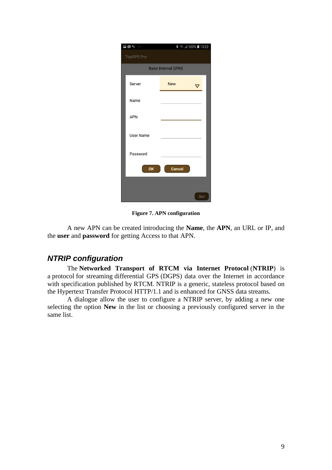| $\mathbb{F} \boxtimes \mathbb{C}$ |                           | 第 全, 11 100% 15:22 |
|-----------------------------------|---------------------------|--------------------|
| <b>TcpGPS Pro</b>                 |                           |                    |
|                                   | <b>Base Internal GPRS</b> |                    |
| Server                            | <b>New</b>                |                    |
| Name                              |                           |                    |
| <b>APN</b>                        |                           |                    |
| <b>User Name</b>                  |                           |                    |
| Password                          |                           |                    |
| OK                                | Cancel                    |                    |
|                                   |                           |                    |
|                                   |                           | Set                |

**Figure 7. APN configuration**

A new APN can be created introducing the **Name**, the **APN**, an URL or IP, and the **user** and **password** for getting Access to that APN.

### *NTRIP configuration*

The **Networked Transport of RTCM via Internet Protocol** (**NTRIP**) is a [protocol](https://en.wikipedia.org/wiki/Communications_protocol) for streaming [differential GPS](https://en.wikipedia.org/wiki/Differential_GPS) (DGPS) data over the Internet in accordance with specification published by [RTCM.](https://en.wikipedia.org/wiki/RTCM) NTRIP is a generic, stateless protocol based on the [Hypertext Transfer Protocol](https://en.wikipedia.org/wiki/Hypertext_Transfer_Protocol) HTTP/1.1 and is enhanced for [GNSS](https://en.wikipedia.org/wiki/GNSS) data streams.

A dialogue allow the user to configure a NTRIP server, by adding a new one selecting the option **New** in the list or choosing a previously configured server in the same list.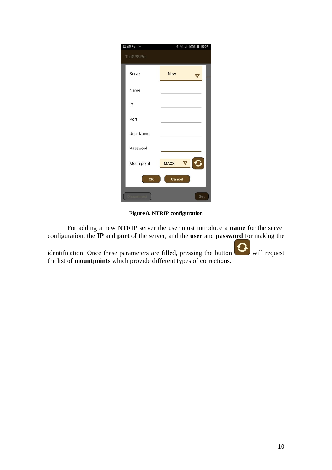| $\begin{picture}(20,20) \put(0,0){\dashbox{0.5}(5,0){ }} \put(15,0){\circle{10}} \put(25,0){\circle{10}} \put(25,0){\circle{10}} \put(25,0){\circle{10}} \put(25,0){\circle{10}} \put(25,0){\circle{10}} \put(25,0){\circle{10}} \put(25,0){\circle{10}} \put(25,0){\circle{10}} \put(25,0){\circle{10}} \put(25,0){\circle{10}} \put(25,0){\circle{10}} \put(25,0){\circle{10}} \put(25,0$ | 第 全, 11 100% 15:25          |
|---------------------------------------------------------------------------------------------------------------------------------------------------------------------------------------------------------------------------------------------------------------------------------------------------------------------------------------------------------------------------------------------|-----------------------------|
| <b>TcpGPS Pro</b>                                                                                                                                                                                                                                                                                                                                                                           |                             |
| Server                                                                                                                                                                                                                                                                                                                                                                                      | <b>New</b><br>$\bm{\nabla}$ |
| Name                                                                                                                                                                                                                                                                                                                                                                                        |                             |
| IP                                                                                                                                                                                                                                                                                                                                                                                          |                             |
| Port                                                                                                                                                                                                                                                                                                                                                                                        |                             |
| <b>User Name</b>                                                                                                                                                                                                                                                                                                                                                                            |                             |
| Password                                                                                                                                                                                                                                                                                                                                                                                    |                             |
| Mountpoint                                                                                                                                                                                                                                                                                                                                                                                  | ▽<br>MAX3                   |
| OK                                                                                                                                                                                                                                                                                                                                                                                          | Cancel                      |
|                                                                                                                                                                                                                                                                                                                                                                                             | Set                         |

**Figure 8. NTRIP configuration**

For adding a new NTRIP server the user must introduce a **name** for the server configuration, the **IP** and **port** of the server, and the **user** and **password** for making the

identification. Once these parameters are filled, pressing the button will request the list of **mountpoints** which provide different types of corrections.